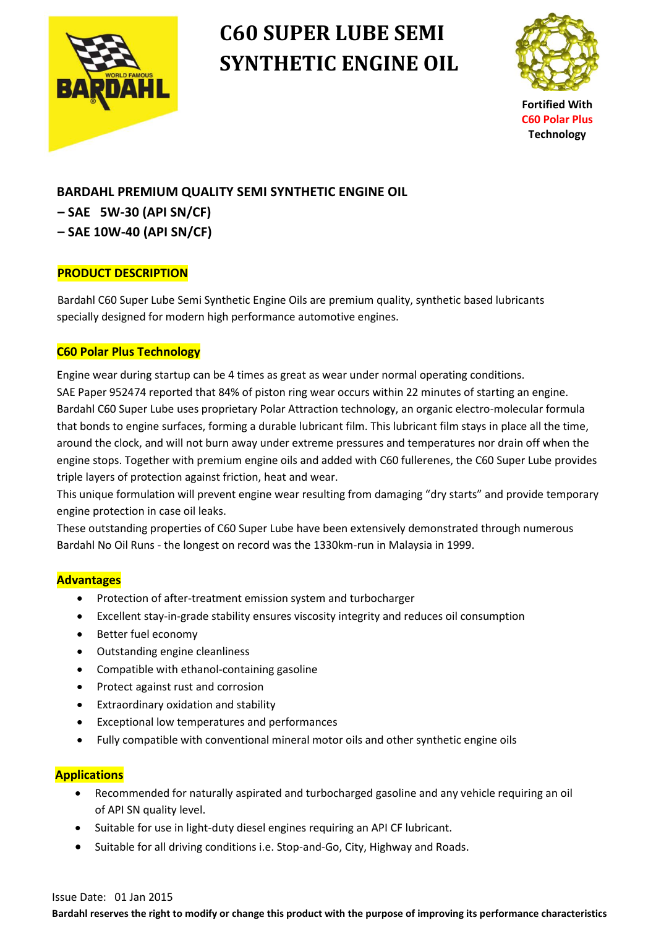

# **C60 SUPER LUBE SEMI SYNTHETIC ENGINE OIL**



**Fortified With C60 Polar Plus Technology**

## **BARDAHL PREMIUM QUALITY SEMI SYNTHETIC ENGINE OIL**

- **– SAE 5W-30 (API SN/CF)**
- **– SAE 10W-40 (API SN/CF)**

## **PRODUCT DESCRIPTION**

Bardahl C60 Super Lube Semi Synthetic Engine Oils are premium quality, synthetic based lubricants specially designed for modern high performance automotive engines.

## **C60 Polar Plus Technology**

 Engine wear during startup can be 4 times as great as wear under normal operating conditions. SAE Paper 952474 reported that 84% of piston ring wear occurs within 22 minutes of starting an engine. Bardahl C60 Super Lube uses proprietary Polar Attraction technology, an organic electro-molecular formula that bonds to engine surfaces, forming a durable lubricant film. This lubricant film stays in place all the time, around the clock, and will not burn away under extreme pressures and temperatures nor drain off when the engine stops. Together with premium engine oils and added with C60 fullerenes, the C60 Super Lube provides triple layers of protection against friction, heat and wear.

 This unique formulation will prevent engine wear resulting from damaging "dry starts" and provide temporary engine protection in case oil leaks.

 These outstanding properties of C60 Super Lube have been extensively demonstrated through numerous Bardahl No Oil Runs - the longest on record was the 1330km-run in Malaysia in 1999.

#### **Advantages**

- Protection of after-treatment emission system and turbocharger
- Excellent stay-in-grade stability ensures viscosity integrity and reduces oil consumption
- Better fuel economy
- Outstanding engine cleanliness
- Compatible with ethanol-containing gasoline
- Protect against rust and corrosion
- Extraordinary oxidation and stability
- Exceptional low temperatures and performances
- Fully compatible with conventional mineral motor oils and other synthetic engine oils

#### **Applications**

- Recommended for naturally aspirated and turbocharged gasoline and any vehicle requiring an oil of API SN quality level.
- Suitable for use in light-duty diesel engines requiring an API CF lubricant.
- Suitable for all driving conditions i.e. Stop-and-Go, City, Highway and Roads.

#### Issue Date: 01 Jan 2015

**Bardahl reserves the right to modify or change this product with the purpose of improving its performance characteristics**